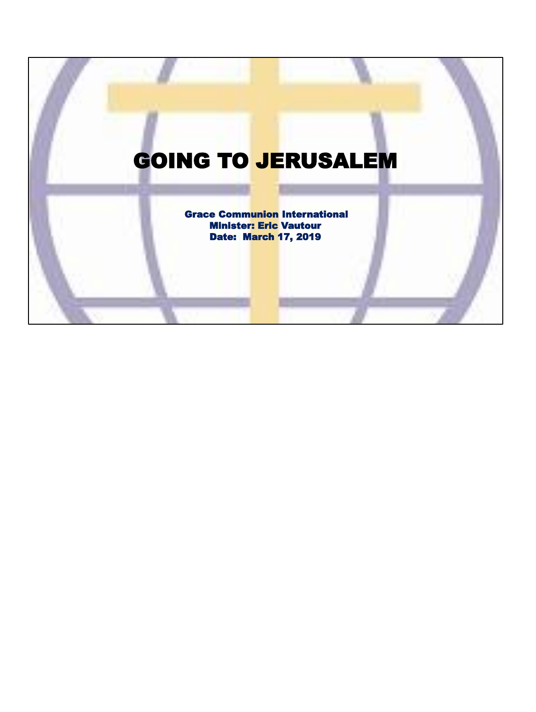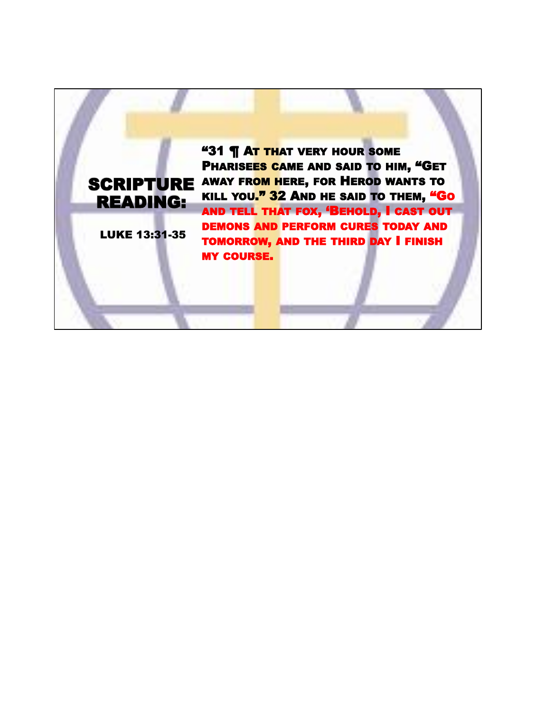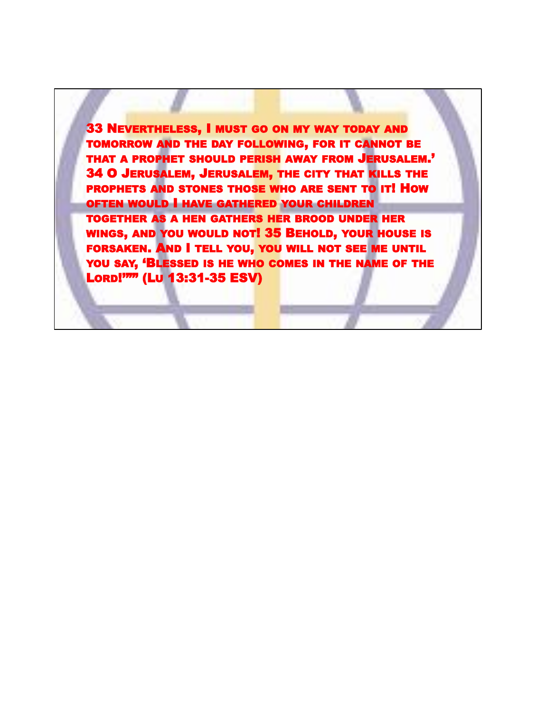33 NEVERTHELESS, I MUST GO ON MY WAY TODAY AND TOMORROW AND THE DAY FOLLOWING, FOR IT CANNOT BE THAT A PROPHET SHOULD PERISH AWAY FROM JERUSALEM.' 34 O JERUSALEM, JERUSALEM, THE CITY THAT KILLS THE PROPHETS AND STONES THOSE WHO ARE SENT TO IT! HOW OFTEN WOULD I HAVE GATHERED YOUR CHILDREN TOGETHER AS A HEN GATHERS HER BROOD UNDER HER WINGS, AND YOU WOULD NOT! 35 BEHOLD, YOUR HOUSE IS FORSAKEN. AND I TELL YOU, YOU WILL NOT SEE ME UNTIL YOU SAY, 'BLESSED IS HE WHO COMES IN THE NAME OF THE LORD!'"" (LU 13:31-35 ESV)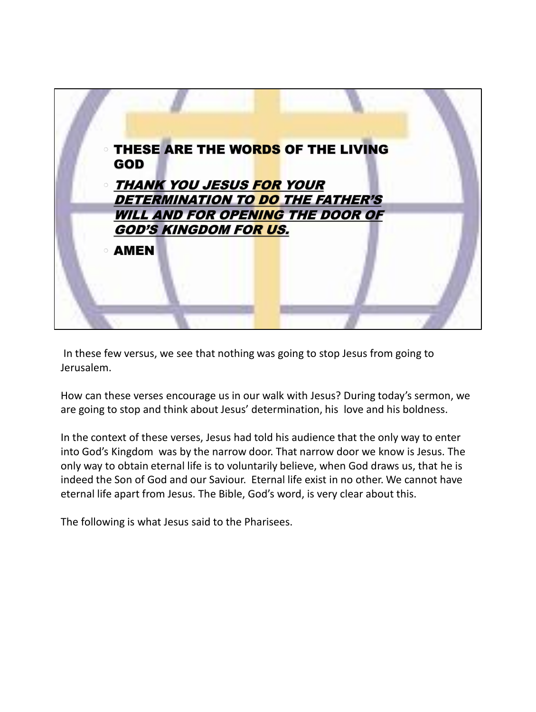

In these few versus, we see that nothing was going to stop Jesus from going to Jerusalem.

How can these verses encourage us in our walk with Jesus? During today's sermon, we are going to stop and think about Jesus' determination, his love and his boldness.

In the context of these verses, Jesus had told his audience that the only way to enter into God's Kingdom was by the narrow door. That narrow door we know is Jesus. The only way to obtain eternal life is to voluntarily believe, when God draws us, that he is indeed the Son of God and our Saviour. Eternal life exist in no other. We cannot have eternal life apart from Jesus. The Bible, God's word, is very clear about this.

The following is what Jesus said to the Pharisees.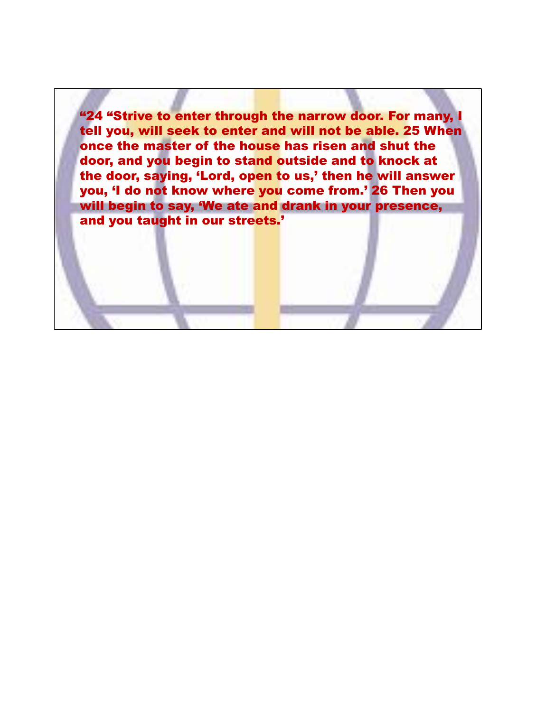"24 "Strive to enter through the narrow door. For many, I tell you, will seek to enter and will not be able. 25 When once the master of the house has risen and shut the door, and you begin to stand outside and to knock at the door, saying, 'Lord, open to us,' then he will answer you, 'I do not know where you come from.' 26 Then you will begin to say, 'We ate and drank in your presence, and you taught in our streets.'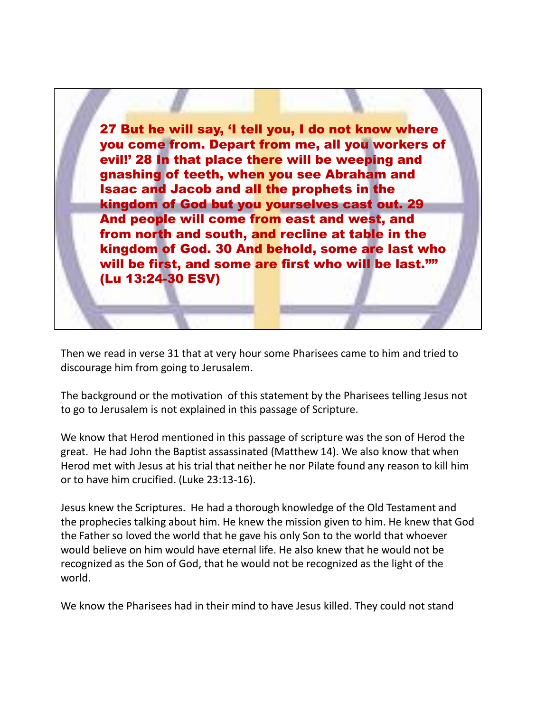27 But he will say, 'I tell you, I do not know where you come from. Depart from me, all you workers of evil!' 28 In that place there will be weeping and gnashing of teeth, when you see Abraham and Isaac and Jacob and all the prophets in the kingdom of God but you yourselves cast out. 29 And people will come from east and west, and from north and south, and recline at table in the kingdom of God. 30 And behold, some are last who will be first, and some are first who will be last."" (Lu 13:24-30 ESV)

Then we read in verse 31 that at very hour some Pharisees came to him and tried to discourage him from going to Jerusalem.

The background or the motivation of this statement by the Pharisees telling Jesus not to go to Jerusalem is not explained in this passage of Scripture.

We know that Herod mentioned in this passage of scripture was the son of Herod the great. He had John the Baptist assassinated (Matthew 14). We also know that when Herod met with Jesus at his trial that neither he nor Pilate found any reason to kill him or to have him crucified. (Luke 23:13-16).

Jesus knew the Scriptures. He had a thorough knowledge of the Old Testament and the prophecies talking about him. He knew the mission given to him. He knew that God the Father so loved the world that he gave his only Son to the world that whoever would believe on him would have eternal life. He also knew that he would not be recognized as the Son of God, that he would not be recognized as the light of the world.

We know the Pharisees had in their mind to have Jesus killed. They could not stand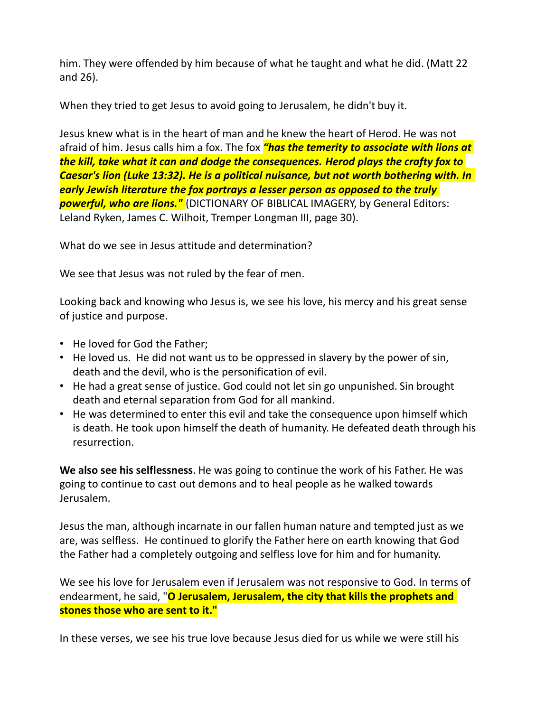him. They were offended by him because of what he taught and what he did. (Matt 22 and 26).

When they tried to get Jesus to avoid going to Jerusalem, he didn't buy it.

Jesus knew what is in the heart of man and he knew the heart of Herod. He was not afraid of him. Jesus calls him a fox. The fox *"has the temerity to associate with lions at the kill, take what it can and dodge the consequences. Herod plays the crafty fox to Caesar's lion (Luke 13:32). He is a political nuisance, but not worth bothering with. In early Jewish literature the fox portrays a lesser person as opposed to the truly powerful, who are lions."* (DICTIONARY OF BIBLICAL IMAGERY, by General Editors: Leland Ryken, James C. Wilhoit, Tremper Longman III, page 30).

What do we see in Jesus attitude and determination?

We see that Jesus was not ruled by the fear of men.

Looking back and knowing who Jesus is, we see his love, his mercy and his great sense of justice and purpose.

- He loved for God the Father;
- He loved us. He did not want us to be oppressed in slavery by the power of sin, death and the devil, who is the personification of evil.
- He had a great sense of justice. God could not let sin go unpunished. Sin brought death and eternal separation from God for all mankind.
- He was determined to enter this evil and take the consequence upon himself which is death. He took upon himself the death of humanity. He defeated death through his resurrection.

**We also see his selflessness**. He was going to continue the work of his Father. He was going to continue to cast out demons and to heal people as he walked towards Jerusalem.

Jesus the man, although incarnate in our fallen human nature and tempted just as we are, was selfless. He continued to glorify the Father here on earth knowing that God the Father had a completely outgoing and selfless love for him and for humanity.

We see his love for Jerusalem even if Jerusalem was not responsive to God. In terms of endearment, he said, "**O Jerusalem, Jerusalem, the city that kills the prophets and stones those who are sent to it."**

In these verses, we see his true love because Jesus died for us while we were still his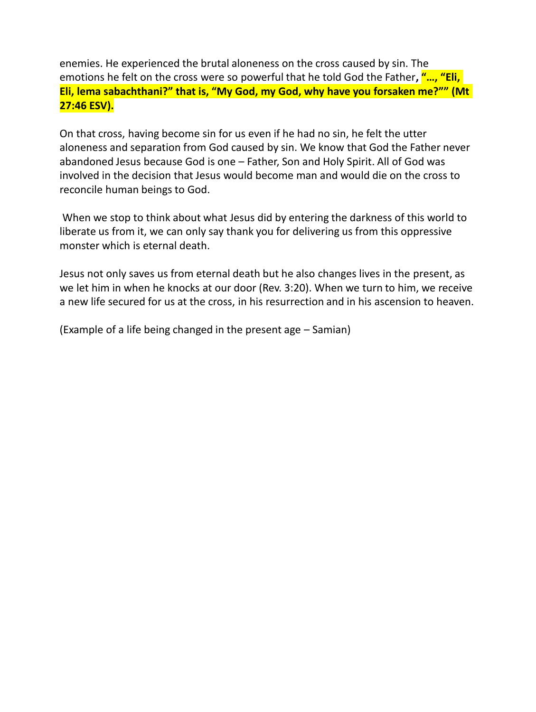enemies. He experienced the brutal aloneness on the cross caused by sin. The emotions he felt on the cross were so powerful that he told God the Father**, "…, "Eli, Eli, lema sabachthani?" that is, "My God, my God, why have you forsaken me?"" (Mt 27:46 ESV).**

On that cross, having become sin for us even if he had no sin, he felt the utter aloneness and separation from God caused by sin. We know that God the Father never abandoned Jesus because God is one – Father, Son and Holy Spirit. All of God was involved in the decision that Jesus would become man and would die on the cross to reconcile human beings to God.

When we stop to think about what Jesus did by entering the darkness of this world to liberate us from it, we can only say thank you for delivering us from this oppressive monster which is eternal death.

Jesus not only saves us from eternal death but he also changes lives in the present, as we let him in when he knocks at our door (Rev. 3:20). When we turn to him, we receive a new life secured for us at the cross, in his resurrection and in his ascension to heaven.

(Example of a life being changed in the present age – Samian)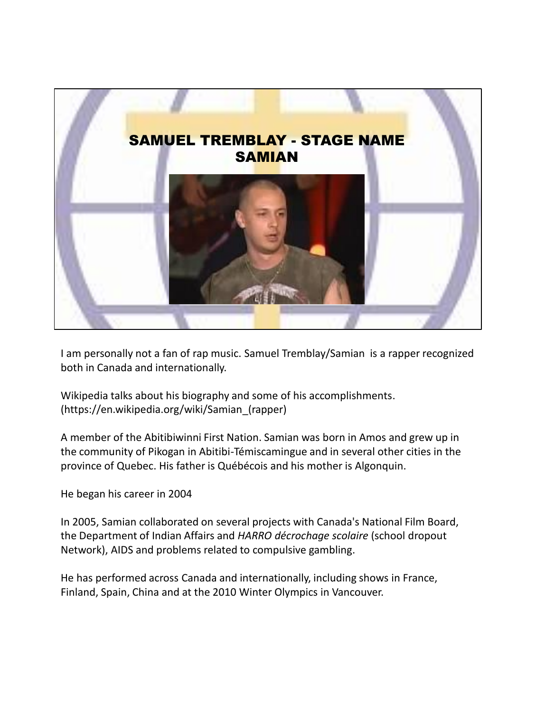

I am personally not a fan of rap music. Samuel Tremblay/Samian is a rapper recognized both in Canada and internationally.

Wikipedia talks about his biography and some of his accomplishments. (https://en.wikipedia.org/wiki/Samian\_(rapper)

A member of the Abitibiwinni First Nation. Samian was born in Amos and grew up in the community of Pikogan in Abitibi-Témiscamingue and in several other cities in the province of Quebec. His father is Québécois and his mother is Algonquin.

He began his career in 2004

In 2005, Samian collaborated on several projects with Canada's National Film Board, the Department of Indian Affairs and *HARRO décrochage scolaire* (school dropout Network), AIDS and problems related to compulsive gambling.

He has performed across Canada and internationally, including shows in France, Finland, Spain, China and at the 2010 Winter Olympics in Vancouver.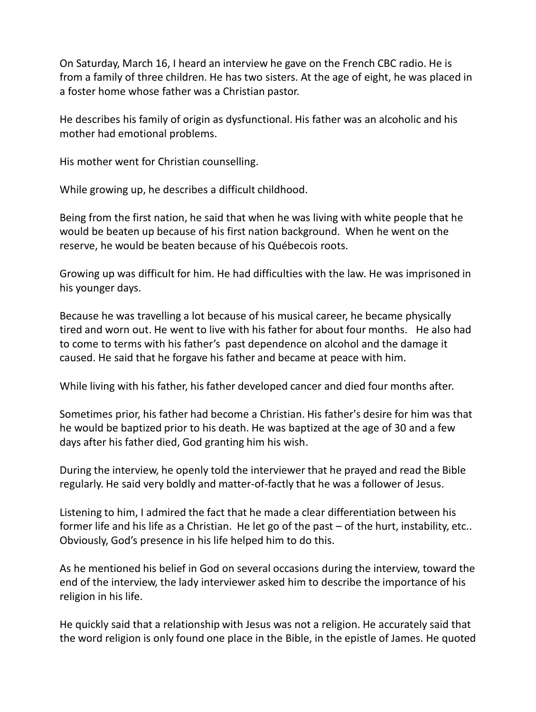On Saturday, March 16, I heard an interview he gave on the French CBC radio. He is from a family of three children. He has two sisters. At the age of eight, he was placed in a foster home whose father was a Christian pastor.

He describes his family of origin as dysfunctional. His father was an alcoholic and his mother had emotional problems.

His mother went for Christian counselling.

While growing up, he describes a difficult childhood.

Being from the first nation, he said that when he was living with white people that he would be beaten up because of his first nation background. When he went on the reserve, he would be beaten because of his Québecois roots.

Growing up was difficult for him. He had difficulties with the law. He was imprisoned in his younger days.

Because he was travelling a lot because of his musical career, he became physically tired and worn out. He went to live with his father for about four months. He also had to come to terms with his father's past dependence on alcohol and the damage it caused. He said that he forgave his father and became at peace with him.

While living with his father, his father developed cancer and died four months after.

Sometimes prior, his father had become a Christian. His father's desire for him was that he would be baptized prior to his death. He was baptized at the age of 30 and a few days after his father died, God granting him his wish.

During the interview, he openly told the interviewer that he prayed and read the Bible regularly. He said very boldly and matter-of-factly that he was a follower of Jesus.

Listening to him, I admired the fact that he made a clear differentiation between his former life and his life as a Christian. He let go of the past – of the hurt, instability, etc.. Obviously, God's presence in his life helped him to do this.

As he mentioned his belief in God on several occasions during the interview, toward the end of the interview, the lady interviewer asked him to describe the importance of his religion in his life.

He quickly said that a relationship with Jesus was not a religion. He accurately said that the word religion is only found one place in the Bible, in the epistle of James. He quoted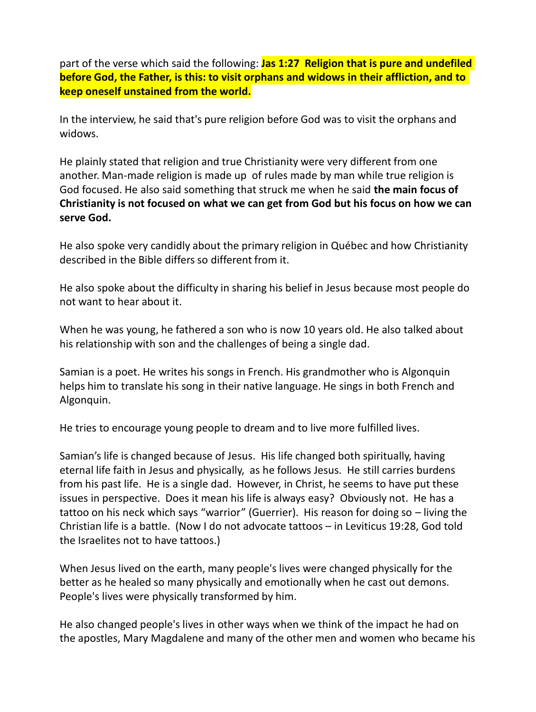part of the verse which said the following: **Jas 1:27 Religion that is pure and undefiled before God, the Father, is this: to visit orphans and widows in their affliction, and to keep oneself unstained from the world.**

In the interview, he said that's pure religion before God was to visit the orphans and widows.

He plainly stated that religion and true Christianity were very different from one another. Man-made religion is made up of rules made by man while true religion is God focused. He also said something that struck me when he said **the main focus of Christianity is not focused on what we can get from God but his focus on how we can serve God.**

He also spoke very candidly about the primary religion in Québec and how Christianity described in the Bible differs so different from it.

He also spoke about the difficulty in sharing his belief in Jesus because most people do not want to hear about it.

When he was young, he fathered a son who is now 10 years old. He also talked about his relationship with son and the challenges of being a single dad.

Samian is a poet. He writes his songs in French. His grandmother who is Algonquin helps him to translate his song in their native language. He sings in both French and Algonquin.

He tries to encourage young people to dream and to live more fulfilled lives.

Samian's life is changed because of Jesus. His life changed both spiritually, having eternal life faith in Jesus and physically, as he follows Jesus. He still carries burdens from his past life. He is a single dad. However, in Christ, he seems to have put these issues in perspective. Does it mean his life is always easy? Obviously not. He has a tattoo on his neck which says "warrior" (Guerrier). His reason for doing so – living the Christian life is a battle. (Now I do not advocate tattoos – in Leviticus 19:28, God told the Israelites not to have tattoos.)

When Jesus lived on the earth, many people's lives were changed physically for the better as he healed so many physically and emotionally when he cast out demons. People's lives were physically transformed by him.

He also changed people's lives in other ways when we think of the impact he had on the apostles, Mary Magdalene and many of the other men and women who became his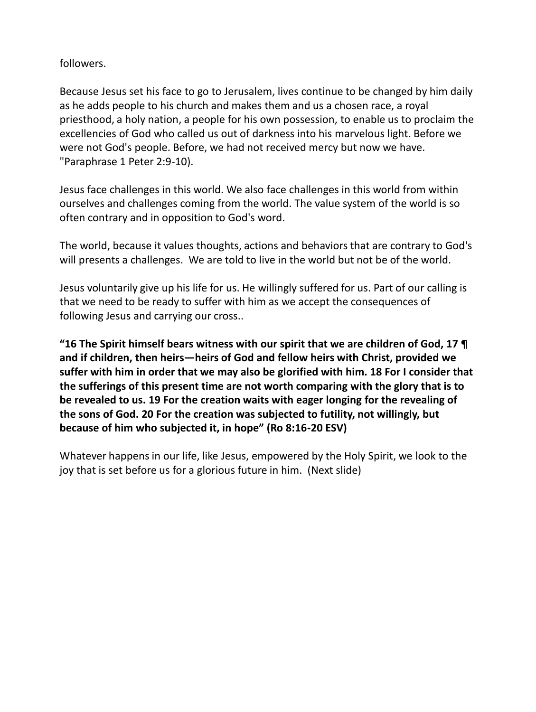## followers.

Because Jesus set his face to go to Jerusalem, lives continue to be changed by him daily as he adds people to his church and makes them and us a chosen race, a royal priesthood, a holy nation, a people for his own possession, to enable us to proclaim the excellencies of God who called us out of darkness into his marvelous light. Before we were not God's people. Before, we had not received mercy but now we have. "Paraphrase 1 Peter 2:9-10).

Jesus face challenges in this world. We also face challenges in this world from within ourselves and challenges coming from the world. The value system of the world is so often contrary and in opposition to God's word.

The world, because it values thoughts, actions and behaviors that are contrary to God's will presents a challenges. We are told to live in the world but not be of the world.

Jesus voluntarily give up his life for us. He willingly suffered for us. Part of our calling is that we need to be ready to suffer with him as we accept the consequences of following Jesus and carrying our cross..

**"16 The Spirit himself bears witness with our spirit that we are children of God, 17 ¶ and if children, then heirs—heirs of God and fellow heirs with Christ, provided we suffer with him in order that we may also be glorified with him. 18 For I consider that the sufferings of this present time are not worth comparing with the glory that is to be revealed to us. 19 For the creation waits with eager longing for the revealing of the sons of God. 20 For the creation was subjected to futility, not willingly, but because of him who subjected it, in hope" (Ro 8:16-20 ESV)**

Whatever happens in our life, like Jesus, empowered by the Holy Spirit, we look to the joy that is set before us for a glorious future in him. (Next slide)